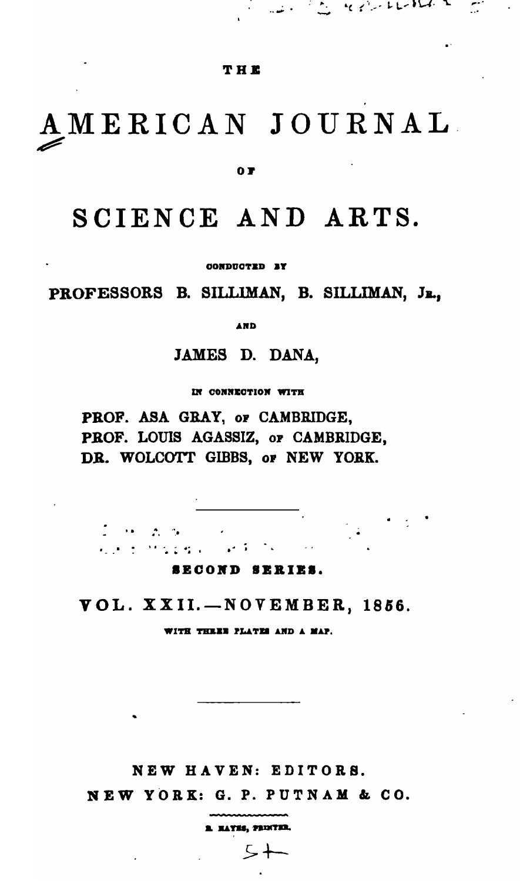#### THE

المستنبي المتعلم فالمستنبذ والمتعادل والمتعارض والمتعارض والمستنبذ والمتعارض والمتعارض والمتعارض والمتعارض والمتعارض

# AMERICAN JOURNAL

O P

# SCIENCE AND ARTS.

CONDUCTED BY

PROFESSORS B. SILLIMAN, B. SILLIMAN, JR.,

AND

JAMES D. DANA,

IN CONNECTION WITH

PROF. ASA GRAY, or CAMBRIDGE, PROF. LOUIS AGASSIZ, or CAMBRIDGE, DR. WOLCOTT GIBBS, or NEW YORK.

I de Aldel kom en Missiera (  $\mathcal{L}(\mathcal{X}) \cong \mathcal{X}$ 

SECOND SERIES.

VOL. XXII.-NOVEMBER, 1856.

WITH THREE PLATES AND A MAP.

NEW HAVEN: EDITORS.

NEW YORK: G. P. PUTNAM & CO.

1 MAYES, PRINTER.

 $5+$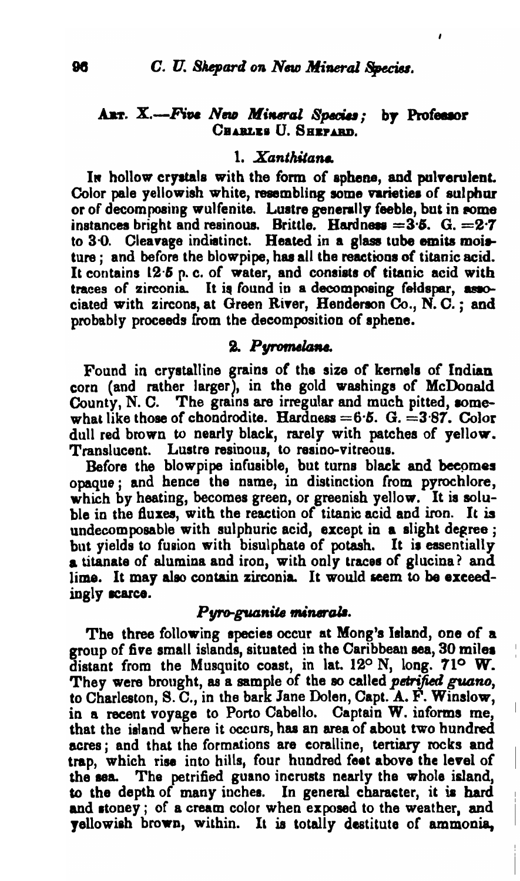#### ART. X.--Five New Mineral Species; by Professor CHARLES U. SHEPARD.

### 1. Xanthitana

In hollow crystals with the form of sphene, and pulverulent. Color pale yellowish white, resembling some varieties of sulphur or of decomposing wulfenite. Lustre generally feeble, but in some instances bright and resinous. Brittle. Hardness =  $3.5$ . G. =  $2.7$ to 3.0. Cleavage indistinct. Heated in a glass tube emits moisture ; and before the blowpipe, has all the reactions of titanic acid. It contains 12.5 p.c. of water, and consists of titanic acid with traces of zirconia. It is found in a decomposing feldspar, associated with zircons, at Green River, Henderson Co., N. C.; and probably proceeds from the decomposition of sphene.

#### 2. Pyromelane.

Found in crystalline grains of the size of kernels of Indian corn (and rather larger), in the gold washings of McDonald County, N. C. The grains are irregular and much pitted, somewhat like those of chondrodite. Hardness =  $6.5$ . G. =  $3.87$ . Color dull red brown to nearly black, rarely with patches of yellow. Translucent. Lustre resinous, to resino-vitreous.

Before the blowpipe infusible, but turns black and becomes opaque; and hence the name, in distinction from pyrochlore, which by heating, becomes green, or greenish yellow. It is soluble in the fluxes, with the reaction of titanic acid and iron. It is undecomposable with sulphuric acid, except in a slight degree ; but yields to fusion with bisulphate of potash. It is essentially a titanate of alumina and iron, with only traces of glucina? and lime. It may also contain zirconia. It would seem to be exceedingly scarce.

#### Pyro-guanite minerals.

The three following species occur at Mong's Island, one of a group of five small islands, situated in the Caribbean sea, 30 miles distant from the Musquito coast, in lat. 12° N, long. 71° W. They were brought, as a sample of the so called petrified guano, to Charleston, S. C., in the bark Jane Dolen, Capt. A. F. Winslow, in a recent voyage to Porto Cabello. Captain W. informs me, that the island where it occurs, has an area of about two hundred acres; and that the formations are coralline, tertiary rocks and trap, which rise into hills, four hundred feet above the level of the sea. The petrified guano incrusts nearly the whole island, to the depth of many inches. In general character, it is hard and stoney; of a cream color when exposed to the weather, and vellowish brown, within. It is totally destitute of ammonia,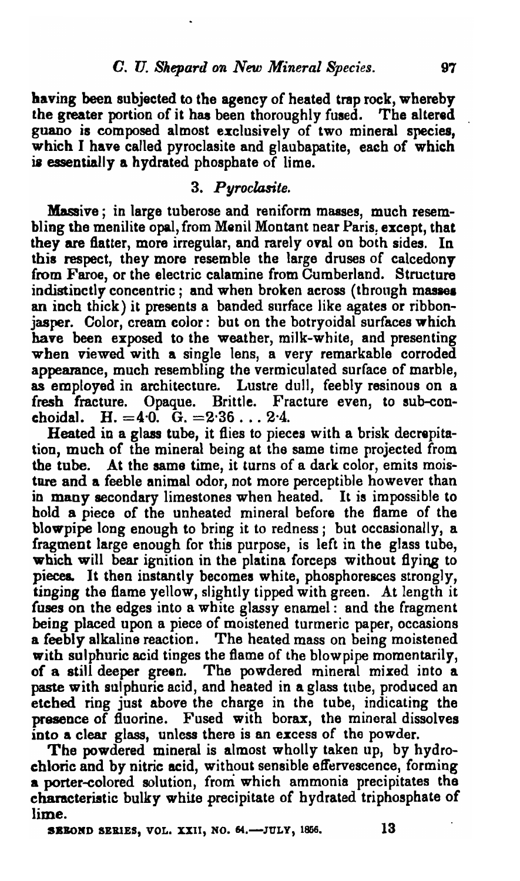having been subjected to the agency of heated trap rock, whereby the greater portion of it haa been thoroughly fused. The altered guano is composed almost exclusively of two mineral species, which I have called pyroclasite and glaubapatite, each of which is essentially a hydrated phosphate of lime.

### *3. Pyroclasite.*

Massive; in large tuberose and reniform masses, much resembling the menilite opal, from Menil Montant near Paris. except, that they are flatter, more irregular, and rarely oval on both sides. In this respect, they more resemble the large druses of calcedony from Faroe, or the electric calamine from Cumberland. Structure indistinctly concentric; and when broken across (through masses an inch thick) it presents a banded surface like agates or ribbonjasper. Color, cream color: but on the botryoidal surfaces which have been exposed to the weather, milk-white, and presenting when viewed with a single lens, a very remarkable corroded appearance, much resembling the vermiculated surface of marble, as employed in architecture. Lustre dull, feebly resinous on a fresh fracture. Opaque. Brittle. Fracture even, to sub-conchoidal. H.  $=4.0.$  G.  $=2.36...2.4$ .

Heated in a glass tube, it flies to pieces with a brisk decrepitation, much of the mineral being at the same time projected from the tube. At the same time, it turns of a dark color, emits moisture and a feeble animal odor, not more perceptible however than in many secondary limestones when heated. It is impossible to hold a piece of the unheated mineral before the flame of the blowpipe long enough to bring it to redness; but occasionally, a fragment large enough for this purpose, is left in the glass tube, which will bear ignition in the platina forceps without flying to pieces. It then instantly becomes white, phosphoresces strongly, tinging the flame yellow, slightly tipped with green. At length it fuses on the edges into a white glassy enamel: and the fragment being placed upon a piece of moistened turmeric paper, occasions a feebly alkaline reaction. The heated mass on being moistened with sulphuric acid tinges the flame of the blowpipe momentarily, of a still deeper green. The powdered mineral mixed into a paste with sulphuric acid, and heated in a glass tube, produced an etched ring just above the charge in the tube, indicating the presence of fluorine. Fused with borax, the mineral dissolves into a clear glass, unless there is an excess of the powder.

The powdered mineral is almost wholly taken up, by hydrochloric and by nitric acid, without sensible effervescence, forming a porter-eolored solution, from which ammonia precipitates the characteristic bulky white precipitate of hydrated triphosphate of lime.

SEBOND SERIES, VOL. XXII, NO. 64. $-$ JULY, 1856. 13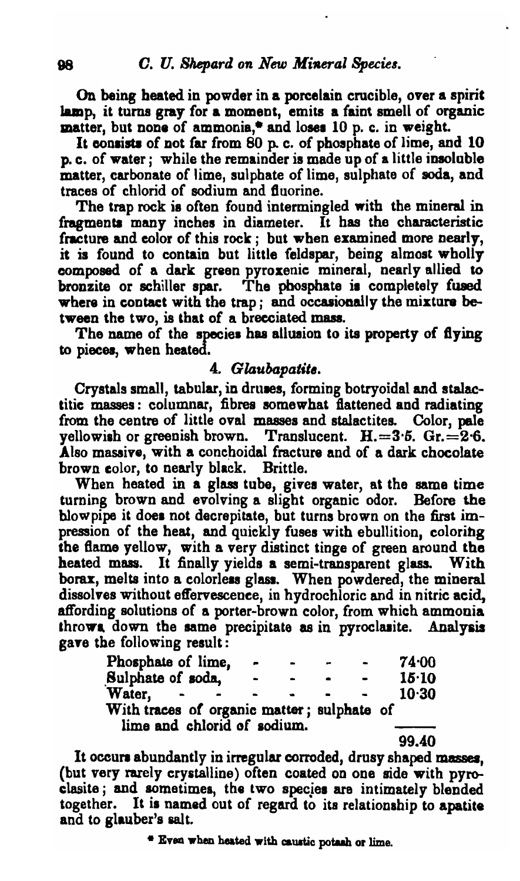On being heated in powder in a porcelain crucible, over a spirie lamp, it turns gray for a moment, emits a faint smell of organic  $m$ atter, but none of ammonia,\* and loses 10 p. c. in weight.

It consists of not far from 80 p. c. of phosphate of lime, and 10 p. c. of water <sup>j</sup> while the remainder is made up of a little insoluble matter, carbonate of lime, sulphate of lime, sulphate of soda, and traces of chlorid of sodium and Buorine.

The trap rock is often found intermingled with the mineral in fragments many inches in diameter. It has the characteristic fracture and color of this rock  $:$  but when examined more nearly, it is found to contain but little feldspar, being almost wholly composed of a dark green pyroxenic mineral, nearly allied to bronzite or schiller spar. The phosphate is completely fused where in contact with the trap; and occasionally the mixture between the two, is that of a brecciated mass.<br>The name of the species has allusion to its property of flying

to pieces, when heated.

#### 4. *Glaubapatite.*

Crystals small, tabular, in druses, forming botryoidal and stalactitic masses: columnar, fibres somewhat flattened and radiating from the centre of little oval masses and stalactites. Color, pale yellowish or greenish brown. Translucent.  $H = 3.5$ .  $Gr = 2.6$ . Also massive, with a conchoidal fracture and of a dark chocolate brown color, to nearly black. Brittle.

When heated in a glass tube, gives water, at the same time turning brown and evolving a slight organic odor. Before the blowpipe it does not decrepitate, but turns brown on the first impression of the heat, and quickly fuses with ebullition, coloring the Bama yellow, with a very distinct tinge of green around the heated mass. It finally yields a semi-transparent glass. With borax, melts into a colorless glass. When powdered, the mineral dissolves without effervescence, in hydrochloric and in nitric acid, atfording solutions of a porter-brown color, from which ammonia throws down the same precipitate as in pyroclasite. Analysis gaye tbe following result:

| Phosphate of lime,                         |   | - | $\overline{\phantom{0}}$ |  | 74.00     |
|--------------------------------------------|---|---|--------------------------|--|-----------|
| Sulphate of soda,                          | - |   |                          |  | $15 - 10$ |
| Water.                                     |   |   |                          |  | $10-30$   |
| With traces of organic matter; sulphate of |   |   |                          |  |           |
| lime and chlorid of sodium.                |   |   |                          |  |           |

99.40

It occurs abundantly in irregular corroded, drusy shaped masses, (but very rarely crystalline) often coated on one side with pyroclasite; and sometimes, the two species are intimately blended together. It is named out of regard to its relationship to apatite and to glauber's salt.

<sup>\*</sup> Even when heated with caustic potash or lime.